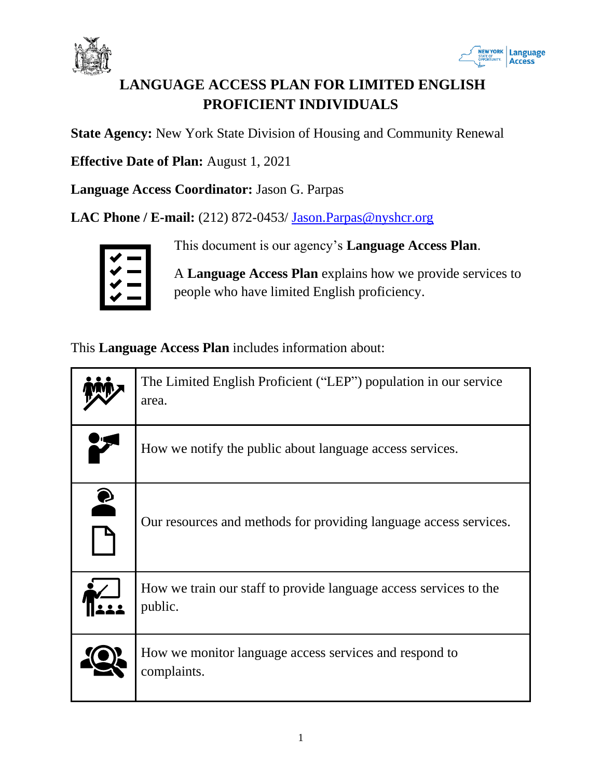



# **LANGUAGE ACCESS PLAN FOR LIMITED ENGLISH PROFICIENT INDIVIDUALS**

**State Agency:** New York State Division of Housing and Community Renewal

**Effective Date of Plan:** August 1, 2021

**Language Access Coordinator:** Jason G. Parpas

**LAC Phone / E-mail:** (212) 872-0453/ **Jason.Parpas@nyshcr.org** 



This document is our agency's **Language Access Plan**.

A **Language Access Plan** explains how we provide services to people who have limited English proficiency.

This **Language Access Plan** includes information about:

|           | The Limited English Proficient ("LEP") population in our service<br>area.    |
|-----------|------------------------------------------------------------------------------|
|           | How we notify the public about language access services.                     |
| $\bullet$ | Our resources and methods for providing language access services.            |
|           | How we train our staff to provide language access services to the<br>public. |
|           | How we monitor language access services and respond to<br>complaints.        |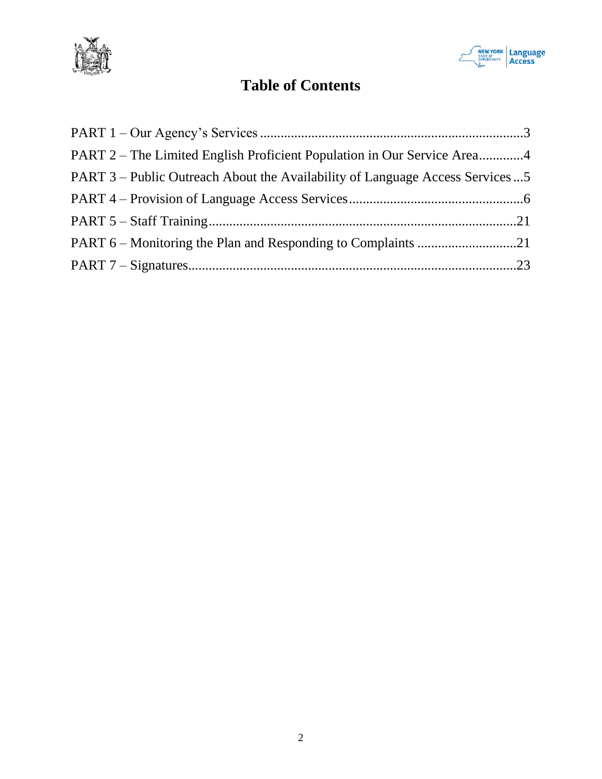



# **Table of Contents**

| PART 2 – The Limited English Proficient Population in Our Service Area4      |  |
|------------------------------------------------------------------------------|--|
| PART 3 – Public Outreach About the Availability of Language Access Services5 |  |
|                                                                              |  |
|                                                                              |  |
|                                                                              |  |
|                                                                              |  |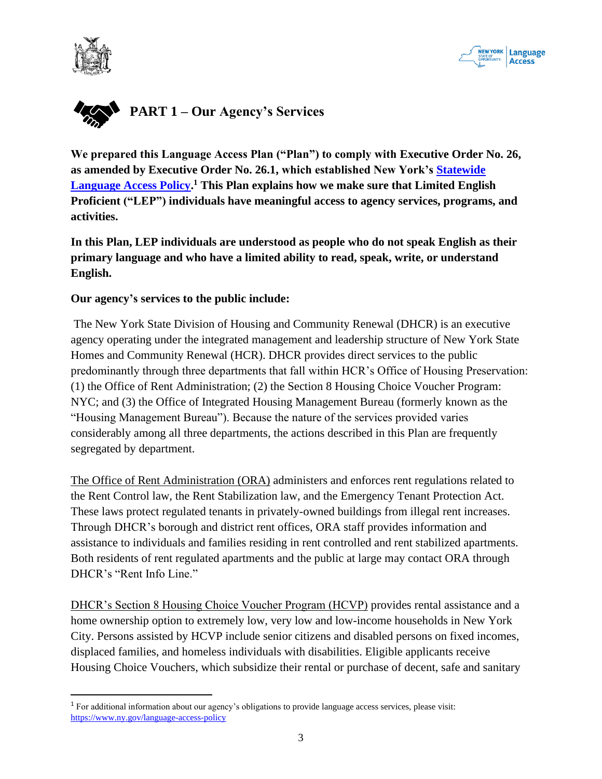



<span id="page-2-0"></span>

**We prepared this Language Access Plan ("Plan") to comply with Executive Order No. 26, as amended by Executive Order No. 26.1, which established New York's [Statewide](https://www.ny.gov/language-access-policy)  [Language Access Policy.](https://www.ny.gov/language-access-policy) <sup>1</sup> This Plan explains how we make sure that Limited English Proficient ("LEP") individuals have meaningful access to agency services, programs, and activities.**

**In this Plan, LEP individuals are understood as people who do not speak English as their primary language and who have a limited ability to read, speak, write, or understand English.** 

#### **Our agency's services to the public include:**

The New York State Division of Housing and Community Renewal (DHCR) is an executive agency operating under the integrated management and leadership structure of New York State Homes and Community Renewal (HCR). DHCR provides direct services to the public predominantly through three departments that fall within HCR's Office of Housing Preservation: (1) the Office of Rent Administration; (2) the Section 8 Housing Choice Voucher Program: NYC; and (3) the Office of Integrated Housing Management Bureau (formerly known as the "Housing Management Bureau"). Because the nature of the services provided varies considerably among all three departments, the actions described in this Plan are frequently segregated by department.

The Office of Rent Administration (ORA) administers and enforces rent regulations related to the Rent Control law, the Rent Stabilization law, and the Emergency Tenant Protection Act. These laws protect regulated tenants in privately-owned buildings from illegal rent increases. Through DHCR's borough and district rent offices, ORA staff provides information and assistance to individuals and families residing in rent controlled and rent stabilized apartments. Both residents of rent regulated apartments and the public at large may contact ORA through DHCR's "Rent Info Line."

DHCR's Section 8 Housing Choice Voucher Program (HCVP) provides rental assistance and a home ownership option to extremely low, very low and low-income households in New York City. Persons assisted by HCVP include senior citizens and disabled persons on fixed incomes, displaced families, and homeless individuals with disabilities. Eligible applicants receive Housing Choice Vouchers, which subsidize their rental or purchase of decent, safe and sanitary

<sup>1</sup> For additional information about our agency's obligations to provide language access services, please visit: <https://www.ny.gov/language-access-policy>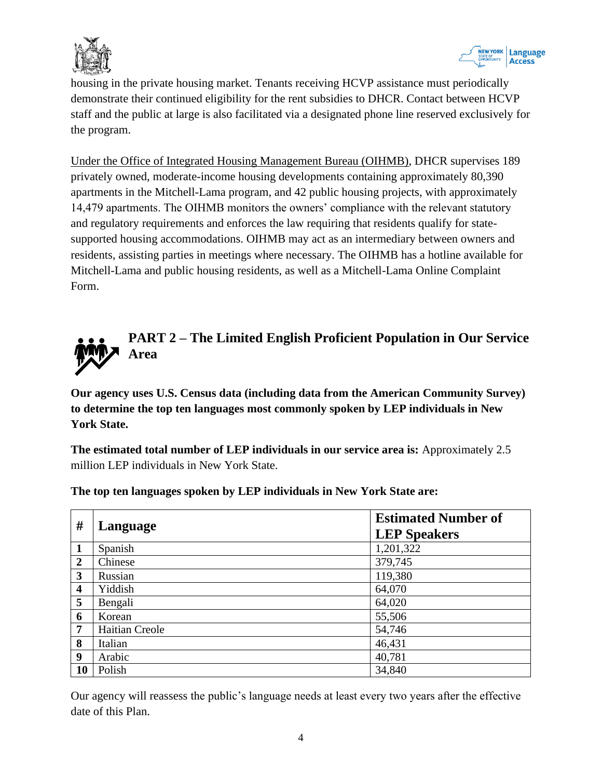



housing in the private housing market. Tenants receiving HCVP assistance must periodically demonstrate their continued eligibility for the rent subsidies to DHCR. Contact between HCVP staff and the public at large is also facilitated via a designated phone line reserved exclusively for the program.

Under the Office of Integrated Housing Management Bureau (OIHMB), DHCR supervises 189 privately owned, moderate-income housing developments containing approximately 80,390 apartments in the Mitchell-Lama program, and 42 public housing projects, with approximately 14,479 apartments. The OIHMB monitors the owners' compliance with the relevant statutory and regulatory requirements and enforces the law requiring that residents qualify for statesupported housing accommodations. OIHMB may act as an intermediary between owners and residents, assisting parties in meetings where necessary. The OIHMB has a hotline available for Mitchell-Lama and public housing residents, as well as a Mitchell-Lama Online Complaint Form.

<span id="page-3-0"></span>

**Our agency uses U.S. Census data (including data from the American Community Survey) to determine the top ten languages most commonly spoken by LEP individuals in New York State.** 

**The estimated total number of LEP individuals in our service area is:** Approximately 2.5 million LEP individuals in New York State.

| #                       | Language       | <b>Estimated Number of</b><br><b>LEP Speakers</b> |
|-------------------------|----------------|---------------------------------------------------|
| $\mathbf{1}$            | Spanish        | 1,201,322                                         |
| $\boldsymbol{2}$        | Chinese        | 379,745                                           |
| 3                       | Russian        | 119,380                                           |
| $\overline{\mathbf{4}}$ | Yiddish        | 64,070                                            |
| 5                       | Bengali        | 64,020                                            |
| 6                       | Korean         | 55,506                                            |
| 7                       | Haitian Creole | 54,746                                            |
| 8                       | Italian        | 46,431                                            |
| 9                       | Arabic         | 40,781                                            |
| 10                      | Polish         | 34,840                                            |

**The top ten languages spoken by LEP individuals in New York State are:**

Our agency will reassess the public's language needs at least every two years after the effective date of this Plan.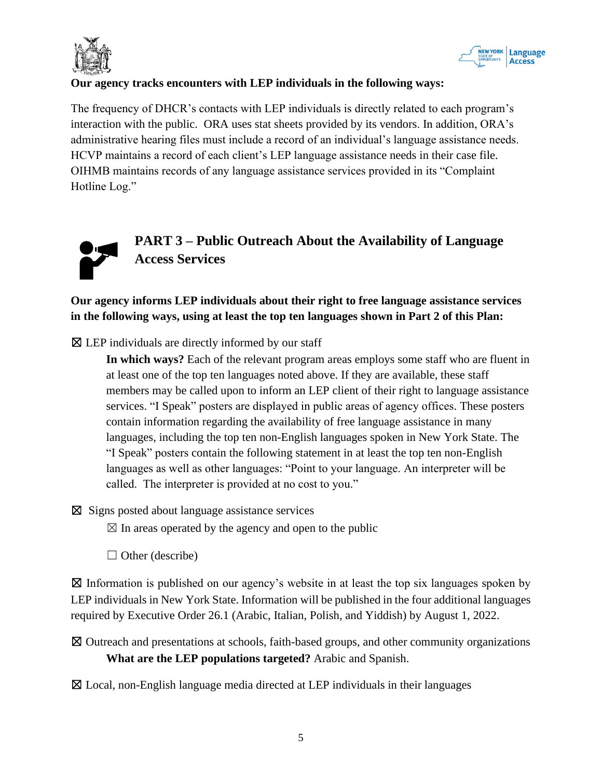



### **Our agency tracks encounters with LEP individuals in the following ways:**

The frequency of DHCR's contacts with LEP individuals is directly related to each program's interaction with the public. ORA uses stat sheets provided by its vendors. In addition, ORA's administrative hearing files must include a record of an individual's language assistance needs. HCVP maintains a record of each client's LEP language assistance needs in their case file. OIHMB maintains records of any language assistance services provided in its "Complaint Hotline Log."



# <span id="page-4-0"></span>**PART 3 – Public Outreach About the Availability of Language Access Services**

## **Our agency informs LEP individuals about their right to free language assistance services in the following ways, using at least the top ten languages shown in Part 2 of this Plan:**

 $\boxtimes$  LEP individuals are directly informed by our staff

**In which ways?** Each of the relevant program areas employs some staff who are fluent in at least one of the top ten languages noted above. If they are available, these staff members may be called upon to inform an LEP client of their right to language assistance services. "I Speak" posters are displayed in public areas of agency offices. These posters contain information regarding the availability of free language assistance in many languages, including the top ten non-English languages spoken in New York State. The "I Speak" posters contain the following statement in at least the top ten non-English languages as well as other languages: "Point to your language. An interpreter will be called. The interpreter is provided at no cost to you."

 $\boxtimes$  Signs posted about language assistance services

 $\boxtimes$  In areas operated by the agency and open to the public

 $\Box$  Other (describe)

 $\boxtimes$  Information is published on our agency's website in at least the top six languages spoken by LEP individuals in New York State. Information will be published in the four additional languages required by Executive Order 26.1 (Arabic, Italian, Polish, and Yiddish) by August 1, 2022.

☒ Outreach and presentations at schools, faith-based groups, and other community organizations **What are the LEP populations targeted?** Arabic and Spanish.

☒ Local, non-English language media directed at LEP individuals in their languages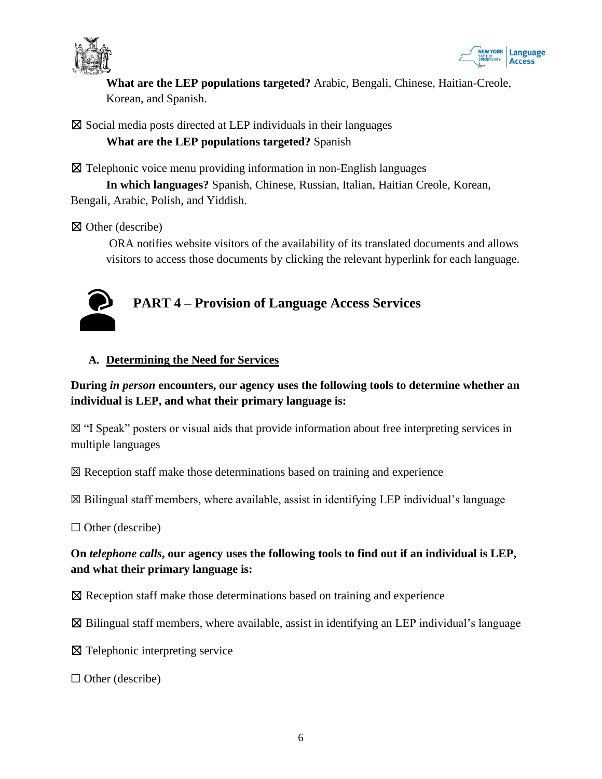



**What are the LEP populations targeted?** Arabic, Bengali, Chinese, Haitian-Creole, Korean, and Spanish.

 $\boxtimes$  Social media posts directed at LEP individuals in their languages **What are the LEP populations targeted?** Spanish

☒ Telephonic voice menu providing information in non-English languages

**In which languages?** Spanish, Chinese, Russian, Italian, Haitian Creole, Korean, Bengali, Arabic, Polish, and Yiddish.

☒ Other (describe)

<span id="page-5-0"></span>ORA notifies website visitors of the availability of its translated documents and allows visitors to access those documents by clicking the relevant hyperlink for each language.



## **A. Determining the Need for Services**

## **During** *in person* **encounters, our agency uses the following tools to determine whether an individual is LEP, and what their primary language is:**

☒ "I Speak" posters or visual aids that provide information about free interpreting services in multiple languages

 $\boxtimes$  Reception staff make those determinations based on training and experience

 $\boxtimes$  Bilingual staff members, where available, assist in identifying LEP individual's language

 $\Box$  Other (describe)

## **On** *telephone calls***, our agency uses the following tools to find out if an individual is LEP, and what their primary language is:**

☒ Reception staff make those determinations based on training and experience

 $\boxtimes$  Bilingual staff members, where available, assist in identifying an LEP individual's language

☒ Telephonic interpreting service

 $\Box$  Other (describe)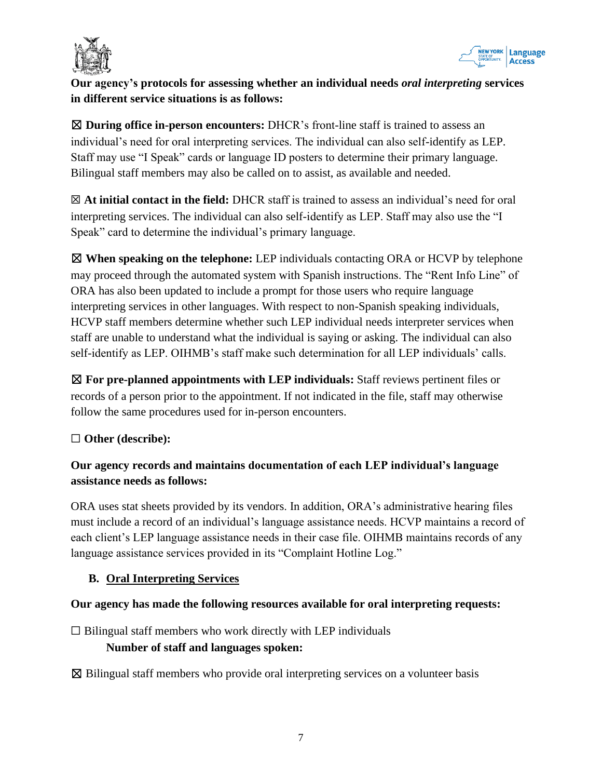



## **Our agency's protocols for assessing whether an individual needs** *oral interpreting* **services in different service situations is as follows:**

☒ **During office in-person encounters:** DHCR's front-line staff is trained to assess an individual's need for oral interpreting services. The individual can also self-identify as LEP. Staff may use "I Speak" cards or language ID posters to determine their primary language. Bilingual staff members may also be called on to assist, as available and needed.

☒ **At initial contact in the field:** DHCR staff is trained to assess an individual's need for oral interpreting services. The individual can also self-identify as LEP. Staff may also use the "I Speak" card to determine the individual's primary language.

☒ **When speaking on the telephone:** LEP individuals contacting ORA or HCVP by telephone may proceed through the automated system with Spanish instructions. The "Rent Info Line" of ORA has also been updated to include a prompt for those users who require language interpreting services in other languages. With respect to non-Spanish speaking individuals, HCVP staff members determine whether such LEP individual needs interpreter services when staff are unable to understand what the individual is saying or asking. The individual can also self-identify as LEP. OIHMB's staff make such determination for all LEP individuals' calls.

☒ **For pre-planned appointments with LEP individuals:** Staff reviews pertinent files or records of a person prior to the appointment. If not indicated in the file, staff may otherwise follow the same procedures used for in-person encounters.

## ☐ **Other (describe):**

## **Our agency records and maintains documentation of each LEP individual's language assistance needs as follows:**

ORA uses stat sheets provided by its vendors. In addition, ORA's administrative hearing files must include a record of an individual's language assistance needs. HCVP maintains a record of each client's LEP language assistance needs in their case file. OIHMB maintains records of any language assistance services provided in its "Complaint Hotline Log."

## **B. Oral Interpreting Services**

#### **Our agency has made the following resources available for oral interpreting requests:**

 $\Box$  Bilingual staff members who work directly with LEP individuals

#### **Number of staff and languages spoken:**

 $\boxtimes$  Bilingual staff members who provide oral interpreting services on a volunteer basis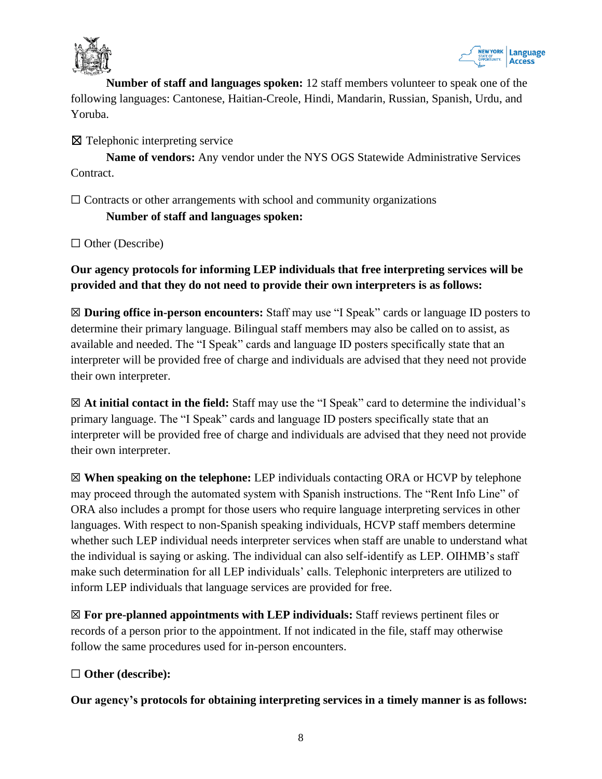



**Number of staff and languages spoken:** 12 staff members volunteer to speak one of the following languages: Cantonese, Haitian-Creole, Hindi, Mandarin, Russian, Spanish, Urdu, and Yoruba.

☒ Telephonic interpreting service

**Name of vendors:** Any vendor under the NYS OGS Statewide Administrative Services Contract.

 $\Box$  Contracts or other arrangements with school and community organizations

**Number of staff and languages spoken:**

□ Other (Describe)

**Our agency protocols for informing LEP individuals that free interpreting services will be provided and that they do not need to provide their own interpreters is as follows:**

☒ **During office in-person encounters:** Staff may use "I Speak" cards or language ID posters to determine their primary language. Bilingual staff members may also be called on to assist, as available and needed. The "I Speak" cards and language ID posters specifically state that an interpreter will be provided free of charge and individuals are advised that they need not provide their own interpreter.

☒ **At initial contact in the field:** Staff may use the "I Speak" card to determine the individual's primary language. The "I Speak" cards and language ID posters specifically state that an interpreter will be provided free of charge and individuals are advised that they need not provide their own interpreter.

☒ **When speaking on the telephone:** LEP individuals contacting ORA or HCVP by telephone may proceed through the automated system with Spanish instructions. The "Rent Info Line" of ORA also includes a prompt for those users who require language interpreting services in other languages. With respect to non-Spanish speaking individuals, HCVP staff members determine whether such LEP individual needs interpreter services when staff are unable to understand what the individual is saying or asking. The individual can also self-identify as LEP. OIHMB's staff make such determination for all LEP individuals' calls. Telephonic interpreters are utilized to inform LEP individuals that language services are provided for free.

☒ **For pre-planned appointments with LEP individuals:** Staff reviews pertinent files or records of a person prior to the appointment. If not indicated in the file, staff may otherwise follow the same procedures used for in-person encounters.

## ☐ **Other (describe):**

**Our agency's protocols for obtaining interpreting services in a timely manner is as follows:**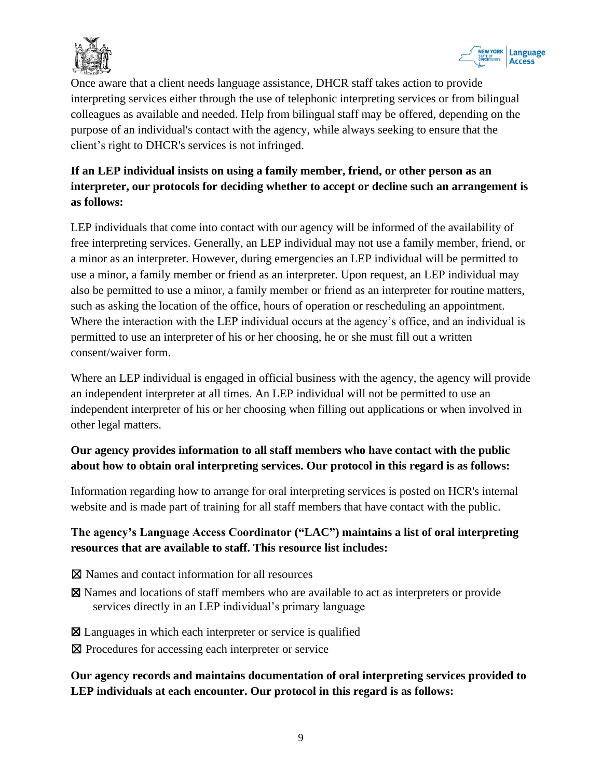



Once aware that a client needs language assistance, DHCR staff takes action to provide interpreting services either through the use of telephonic interpreting services or from bilingual colleagues as available and needed. Help from bilingual staff may be offered, depending on the purpose of an individual's contact with the agency, while always seeking to ensure that the client's right to DHCR's services is not infringed.

## **If an LEP individual insists on using a family member, friend, or other person as an interpreter, our protocols for deciding whether to accept or decline such an arrangement is as follows:**

LEP individuals that come into contact with our agency will be informed of the availability of free interpreting services. Generally, an LEP individual may not use a family member, friend, or a minor as an interpreter. However, during emergencies an LEP individual will be permitted to use a minor, a family member or friend as an interpreter. Upon request, an LEP individual may also be permitted to use a minor, a family member or friend as an interpreter for routine matters, such as asking the location of the office, hours of operation or rescheduling an appointment. Where the interaction with the LEP individual occurs at the agency's office, and an individual is permitted to use an interpreter of his or her choosing, he or she must fill out a written consent/waiver form.

Where an LEP individual is engaged in official business with the agency, the agency will provide an independent interpreter at all times. An LEP individual will not be permitted to use an independent interpreter of his or her choosing when filling out applications or when involved in other legal matters.

## **Our agency provides information to all staff members who have contact with the public about how to obtain oral interpreting services. Our protocol in this regard is as follows:**

Information regarding how to arrange for oral interpreting services is posted on HCR's internal website and is made part of training for all staff members that have contact with the public.

## **The agency's Language Access Coordinator ("LAC") maintains a list of oral interpreting resources that are available to staff. This resource list includes:**

- ☒ Names and contact information for all resources
- ☒ Names and locations of staff members who are available to act as interpreters or provide services directly in an LEP individual's primary language
- ☒ Languages in which each interpreter or service is qualified
- ⊠ Procedures for accessing each interpreter or service

## **Our agency records and maintains documentation of oral interpreting services provided to LEP individuals at each encounter. Our protocol in this regard is as follows:**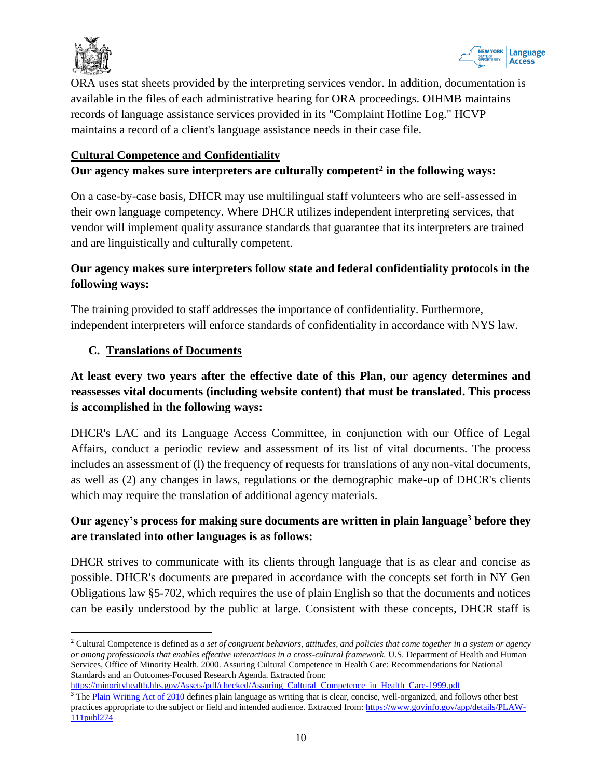



ORA uses stat sheets provided by the interpreting services vendor. In addition, documentation is available in the files of each administrative hearing for ORA proceedings. OIHMB maintains records of language assistance services provided in its "Complaint Hotline Log." HCVP maintains a record of a client's language assistance needs in their case file.

#### **Cultural Competence and Confidentiality**

#### **Our agency makes sure interpreters are culturally competent<sup>2</sup> in the following ways:**

On a case-by-case basis, DHCR may use multilingual staff volunteers who are self-assessed in their own language competency. Where DHCR utilizes independent interpreting services, that vendor will implement quality assurance standards that guarantee that its interpreters are trained and are linguistically and culturally competent.

## **Our agency makes sure interpreters follow state and federal confidentiality protocols in the following ways:**

The training provided to staff addresses the importance of confidentiality. Furthermore, independent interpreters will enforce standards of confidentiality in accordance with NYS law.

#### **C. Translations of Documents**

## **At least every two years after the effective date of this Plan, our agency determines and reassesses vital documents (including website content) that must be translated. This process is accomplished in the following ways:**

DHCR's LAC and its Language Access Committee, in conjunction with our Office of Legal Affairs, conduct a periodic review and assessment of its list of vital documents. The process includes an assessment of (l) the frequency of requests for translations of any non-vital documents, as well as (2) any changes in laws, regulations or the demographic make-up of DHCR's clients which may require the translation of additional agency materials.

## **Our agency's process for making sure documents are written in plain language<sup>3</sup> before they are translated into other languages is as follows:**

DHCR strives to communicate with its clients through language that is as clear and concise as possible. DHCR's documents are prepared in accordance with the concepts set forth in NY Gen Obligations law §5-702, which requires the use of plain English so that the documents and notices can be easily understood by the public at large. Consistent with these concepts, DHCR staff is

```
https://minorityhealth.hhs.gov/Assets/pdf/checked/Assuring_Cultural_Competence_in_Health_Care-1999.pdf
```
<sup>2</sup> Cultural Competence is defined as *a set of congruent behaviors, attitudes, and policies that come together in a system or agency or among professionals that enables effective interactions in a cross-cultural framework.* U.S. Department of Health and Human Services, Office of Minority Health. 2000. Assuring Cultural Competence in Health Care: Recommendations for National Standards and an Outcomes-Focused Research Agenda. Extracted from:

<sup>&</sup>lt;sup>3</sup> The [Plain Writing Act of 2010](https://www.govinfo.gov/app/details/PLAW-111publ274) defines plain language as writing that is clear, concise, well-organized, and follows other best practices appropriate to the subject or field and intended audience. Extracted from: [https://www.govinfo.gov/app/details/PLAW-](https://www.govinfo.gov/app/details/PLAW-111publ274)[111publ274](https://www.govinfo.gov/app/details/PLAW-111publ274)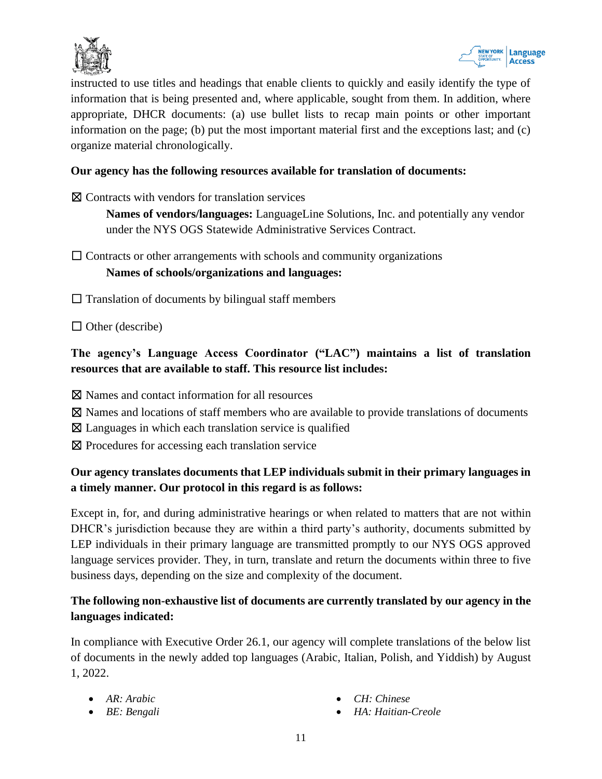



instructed to use titles and headings that enable clients to quickly and easily identify the type of information that is being presented and, where applicable, sought from them. In addition, where appropriate, DHCR documents: (a) use bullet lists to recap main points or other important information on the page; (b) put the most important material first and the exceptions last; and (c) organize material chronologically.

#### **Our agency has the following resources available for translation of documents:**

☒ Contracts with vendors for translation services

**Names of vendors/languages:** LanguageLine Solutions, Inc. and potentially any vendor under the NYS OGS Statewide Administrative Services Contract.

 $\Box$  Contracts or other arrangements with schools and community organizations

#### **Names of schools/organizations and languages:**

 $\Box$  Translation of documents by bilingual staff members

 $\Box$  Other (describe)

## **The agency's Language Access Coordinator ("LAC") maintains a list of translation resources that are available to staff. This resource list includes:**

- ⊠ Names and contact information for all resources
- ☒ Names and locations of staff members who are available to provide translations of documents
- $\boxtimes$  Languages in which each translation service is qualified
- ☒ Procedures for accessing each translation service

## **Our agency translates documents that LEP individuals submit in their primary languages in a timely manner. Our protocol in this regard is as follows:**

Except in, for, and during administrative hearings or when related to matters that are not within DHCR's jurisdiction because they are within a third party's authority, documents submitted by LEP individuals in their primary language are transmitted promptly to our NYS OGS approved language services provider. They, in turn, translate and return the documents within three to five business days, depending on the size and complexity of the document.

## **The following non-exhaustive list of documents are currently translated by our agency in the languages indicated:**

In compliance with Executive Order 26.1, our agency will complete translations of the below list of documents in the newly added top languages (Arabic, Italian, Polish, and Yiddish) by August 1, 2022.

- *AR: Arabic*
- *BE: Bengali*
- *CH: Chinese*
- *HA: Haitian-Creole*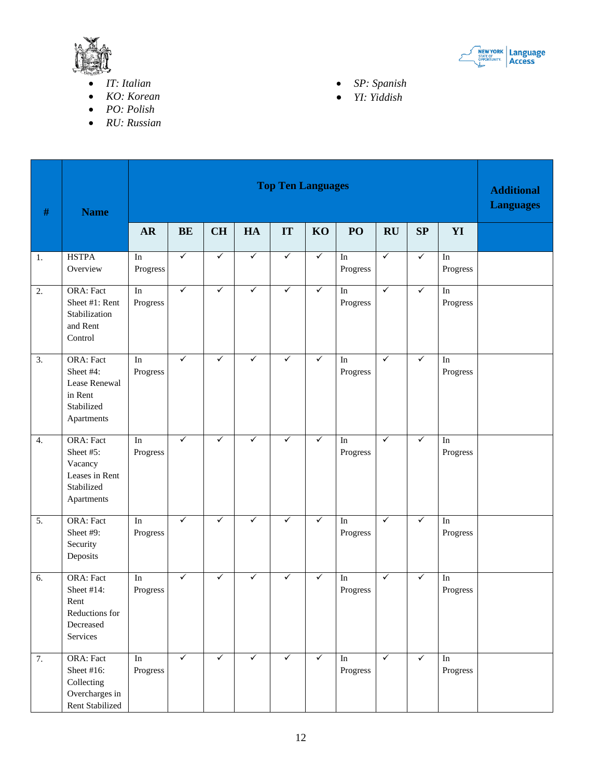

- *IT: Italian*
- *KO: Korean*
- *PO: Polish*
- *RU: Russian*



- *SP: Spanish*
- *YI: Yiddish*

| $\#$             | <b>Name</b>                                                                            | <b>Top Ten Languages</b>        |              |              |              |              |              |                                 |              |              |                                    | <b>Additional</b><br><b>Languages</b> |
|------------------|----------------------------------------------------------------------------------------|---------------------------------|--------------|--------------|--------------|--------------|--------------|---------------------------------|--------------|--------------|------------------------------------|---------------------------------------|
|                  |                                                                                        | <b>AR</b>                       | <b>BE</b>    | <b>CH</b>    | HA           | IT           | KO           | PO                              | RU           | SP           | YI                                 |                                       |
| 1.               | <b>HSTPA</b><br>Overview                                                               | $\operatorname{In}$<br>Progress | $\checkmark$ | $\checkmark$ | $\checkmark$ | $\checkmark$ | $\checkmark$ | $\operatorname{In}$<br>Progress | $\checkmark$ | $\checkmark$ | $\mathop{\mathrm{In}}$<br>Progress |                                       |
| $\overline{2}$ . | <b>ORA: Fact</b><br>Sheet #1: Rent<br>Stabilization<br>and Rent<br>Control             | $\overline{\ln}$<br>Progress    | $\checkmark$ | $\checkmark$ | $\checkmark$ | $\checkmark$ | $\checkmark$ | $\rm{In}$<br>Progress           | $\checkmark$ | $\checkmark$ | $\overline{\ln}$<br>Progress       |                                       |
| $\overline{3}$ . | <b>ORA: Fact</b><br>Sheet #4:<br>Lease Renewal<br>in Rent<br>Stabilized<br>Apartments  | $\rm{In}$<br>Progress           | $\checkmark$ | $\checkmark$ | ✓            | $\checkmark$ | $\checkmark$ | $\operatorname{In}$<br>Progress | $\checkmark$ | $\checkmark$ | $\operatorname{In}$<br>Progress    |                                       |
| 4.               | <b>ORA: Fact</b><br>Sheet #5:<br>Vacancy<br>Leases in Rent<br>Stabilized<br>Apartments | In<br>Progress                  | $\checkmark$ | $\checkmark$ | ✓            | $\checkmark$ | $\checkmark$ | $\rm{In}$<br>Progress           | $\checkmark$ | $\checkmark$ | In<br>Progress                     |                                       |
| 5.               | <b>ORA: Fact</b><br>Sheet #9:<br>Security<br>Deposits                                  | $\operatorname{In}$<br>Progress | $\checkmark$ | ✓            | $\checkmark$ | $\checkmark$ | $\checkmark$ | $\operatorname{In}$<br>Progress | $\checkmark$ | $\checkmark$ | $\operatorname{In}$<br>Progress    |                                       |
| 6.               | <b>ORA: Fact</b><br>Sheet #14:<br>Rent<br>Reductions for<br>Decreased<br>Services      | $\rm{In}$<br>Progress           | $\checkmark$ | ✓            | $\checkmark$ | $\checkmark$ | $\checkmark$ | $\operatorname{In}$<br>Progress | $\checkmark$ | $\checkmark$ | $\operatorname{In}$<br>Progress    |                                       |
| 7.               | <b>ORA: Fact</b><br>Sheet #16:<br>Collecting<br>Overcharges in<br>Rent Stabilized      | In<br>Progress                  | $\checkmark$ | $\checkmark$ | $\checkmark$ | $\checkmark$ | $\checkmark$ | In<br>Progress                  | $\checkmark$ | $\checkmark$ | $\mathop{\mathrm{In}}$<br>Progress |                                       |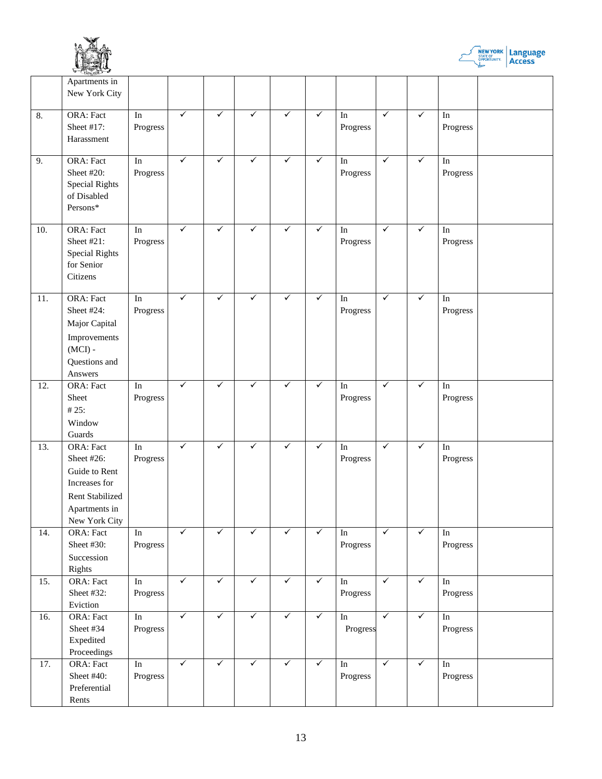



|     | $-100$ C ST 217-27<br>Apartments in<br>New York City                                                           |                                 |              |              |              |              |              |                                 |              |              |                                    |  |
|-----|----------------------------------------------------------------------------------------------------------------|---------------------------------|--------------|--------------|--------------|--------------|--------------|---------------------------------|--------------|--------------|------------------------------------|--|
| 8.  | ORA: Fact<br>Sheet #17:<br>Harassment                                                                          | In<br>Progress                  | $\checkmark$ | $\checkmark$ | $\checkmark$ | $\checkmark$ | $\checkmark$ | $\operatorname{In}$<br>Progress | $\checkmark$ | $\checkmark$ | $\mathop{\mathrm{In}}$<br>Progress |  |
| 9.  | <b>ORA: Fact</b><br>Sheet #20:<br><b>Special Rights</b><br>of Disabled<br>Persons*                             | $\overline{\ln}$<br>Progress    | $\checkmark$ | $\checkmark$ | $\checkmark$ | $\checkmark$ | $\checkmark$ | $\operatorname{In}$<br>Progress | $\checkmark$ | $\checkmark$ | $\overline{\ln}$<br>Progress       |  |
| 10. | <b>ORA: Fact</b><br>Sheet #21:<br><b>Special Rights</b><br>for Senior<br>Citizens                              | $\rm{In}$<br>Progress           | $\checkmark$ | ✓            | ✓            | $\checkmark$ | $\checkmark$ | In<br>Progress                  | $\checkmark$ | $\checkmark$ | In<br>Progress                     |  |
| 11. | ORA: Fact<br>Sheet #24:<br>Major Capital<br>Improvements<br>$(MCI)$ -<br>Questions and<br>Answers              | In<br>Progress                  | $\checkmark$ | $\checkmark$ | ✓            | $\checkmark$ | $\checkmark$ | In<br>Progress                  | $\checkmark$ | $\checkmark$ | $\operatorname{In}$<br>Progress    |  |
| 12. | ORA: Fact<br>Sheet<br>#25:<br>Window<br>Guards                                                                 | $\rm{In}$<br>Progress           | ✓            | $\checkmark$ | ✓            | $\checkmark$ | $\checkmark$ | In<br>Progress                  | $\checkmark$ | $\checkmark$ | $\mathop{\mathrm{In}}$<br>Progress |  |
| 13. | ORA: Fact<br>Sheet #26:<br>Guide to Rent<br>Increases for<br>Rent Stabilized<br>Apartments in<br>New York City | In<br>Progress                  | $\checkmark$ | $\checkmark$ | ✓            | $\checkmark$ | $\checkmark$ | In<br>Progress                  | $\checkmark$ | $\checkmark$ | In<br>Progress                     |  |
| 14. | <b>ORA: Fact</b><br>Sheet #30:<br>Succession<br>Rights                                                         | $\operatorname{In}$<br>Progress | $\checkmark$ | $\checkmark$ | $\checkmark$ | $\checkmark$ | $\checkmark$ | In<br>Progress                  | $\checkmark$ | $\checkmark$ | $\mathop{\mathrm{In}}$<br>Progress |  |
| 15. | <b>ORA: Fact</b><br>Sheet #32:<br>Eviction                                                                     | $\operatorname{In}$<br>Progress | $\checkmark$ | $\checkmark$ | $\checkmark$ | $\checkmark$ | $\checkmark$ | $\operatorname{In}$<br>Progress | $\sqrt{}$    | $\sqrt{}$    | $\mathop{\mathrm{In}}$<br>Progress |  |
| 16. | <b>ORA: Fact</b><br>Sheet #34<br>Expedited<br>Proceedings                                                      | $\operatorname{In}$<br>Progress | $\checkmark$ | $\checkmark$ | $\checkmark$ | $\checkmark$ | $\checkmark$ | $\operatorname{In}$<br>Progress | $\checkmark$ | $\checkmark$ | $\operatorname{In}$<br>Progress    |  |
| 17. | ORA: Fact<br>Sheet #40:<br>Preferential<br>Rents                                                               | $\operatorname{In}$<br>Progress | $\checkmark$ | $\checkmark$ | $\checkmark$ | $\checkmark$ | $\checkmark$ | $\operatorname{In}$<br>Progress | $\checkmark$ | $\checkmark$ | $\operatorname{In}$<br>Progress    |  |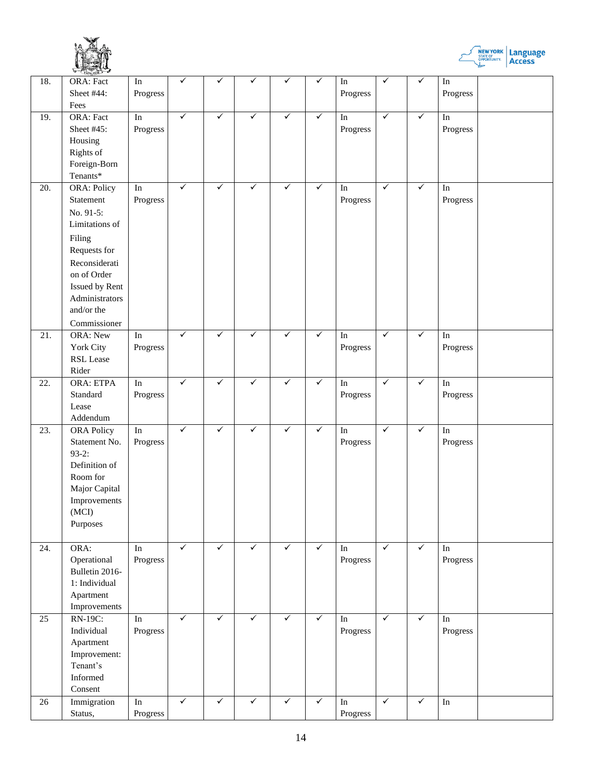



|     | $\sim$ $\sqrt{5}$ $\sqrt{5}$ $\sqrt{10}$                                                                                                                                            |                                    |              |              |              |              |              |                                 |              |              |                                 |  |
|-----|-------------------------------------------------------------------------------------------------------------------------------------------------------------------------------------|------------------------------------|--------------|--------------|--------------|--------------|--------------|---------------------------------|--------------|--------------|---------------------------------|--|
| 18. | ORA: Fact<br>Sheet #44:<br>Fees                                                                                                                                                     | $\operatorname{In}$<br>Progress    | ✓            | ✓            | ✓            | ✓            | ✓            | $\operatorname{In}$<br>Progress | ✓            | $\checkmark$ | $\operatorname{In}$<br>Progress |  |
| 19. | ORA: Fact<br>Sheet #45:<br>Housing<br>Rights of<br>Foreign-Born<br>Tenants*                                                                                                         | $\rm{In}$<br>Progress              | $\checkmark$ | $\checkmark$ | ✓            | ✓            | $\checkmark$ | $\operatorname{In}$<br>Progress | $\checkmark$ | $\checkmark$ | In<br>Progress                  |  |
| 20. | ORA: Policy<br>Statement<br>No. 91-5:<br>Limitations of<br>Filing<br>Requests for<br>Reconsiderati<br>on of Order<br>Issued by Rent<br>Administrators<br>and/or the<br>Commissioner | $\rm{In}$<br>Progress              | $\checkmark$ | $\checkmark$ | ✓            | $\checkmark$ | ✓            | $\operatorname{In}$<br>Progress | $\checkmark$ | $\checkmark$ | In<br>Progress                  |  |
| 21. | <b>ORA: New</b><br>York City<br>RSL Lease<br>Rider                                                                                                                                  | $\operatorname{In}$<br>Progress    | $\checkmark$ | $\checkmark$ | ✓            | $\checkmark$ | $\checkmark$ | $\operatorname{In}$<br>Progress | $\checkmark$ | $\checkmark$ | In<br>Progress                  |  |
| 22. | <b>ORA: ETPA</b><br>Standard<br>Lease<br>Addendum                                                                                                                                   | $\overline{\ln}$<br>Progress       | $\checkmark$ | $\checkmark$ | $\checkmark$ | $\checkmark$ | $\checkmark$ | $\operatorname{In}$<br>Progress | $\checkmark$ | $\checkmark$ | In<br>Progress                  |  |
| 23. | <b>ORA Policy</b><br>Statement No.<br>$93-2:$<br>Definition of<br>Room for<br>Major Capital<br>Improvements<br>(MCI)<br>Purposes                                                    | $\operatorname{In}$<br>Progress    | $\checkmark$ | $\checkmark$ | $\checkmark$ | $\checkmark$ | $\checkmark$ | $\operatorname{In}$<br>Progress | $\checkmark$ | $\checkmark$ | $\rm{In}$<br>Progress           |  |
| 24. | ORA:<br>Operational<br>Bulletin 2016-<br>1: Individual<br>Apartment<br>Improvements                                                                                                 | $\mathop{\mathrm{In}}$<br>Progress | $\checkmark$ | $\checkmark$ | $\checkmark$ | $\checkmark$ | $\checkmark$ | In<br>Progress                  | $\checkmark$ | $\checkmark$ | In<br>Progress                  |  |
| 25  | RN-19C:<br>Individual<br>Apartment<br>Improvement:<br>Tenant's<br>Informed<br>Consent                                                                                               | $\operatorname{In}$<br>Progress    | $\checkmark$ | $\checkmark$ | $\checkmark$ | $\checkmark$ | $\checkmark$ | $\operatorname{In}$<br>Progress | $\checkmark$ | $\checkmark$ | In<br>Progress                  |  |
| 26  | Immigration<br>Status,                                                                                                                                                              | $\overline{\ln}$<br>Progress       | $\checkmark$ | $\checkmark$ | $\checkmark$ | $\checkmark$ | $\checkmark$ | $\overline{\ln}$<br>Progress    | $\checkmark$ | $\checkmark$ | $\overline{\ln}$                |  |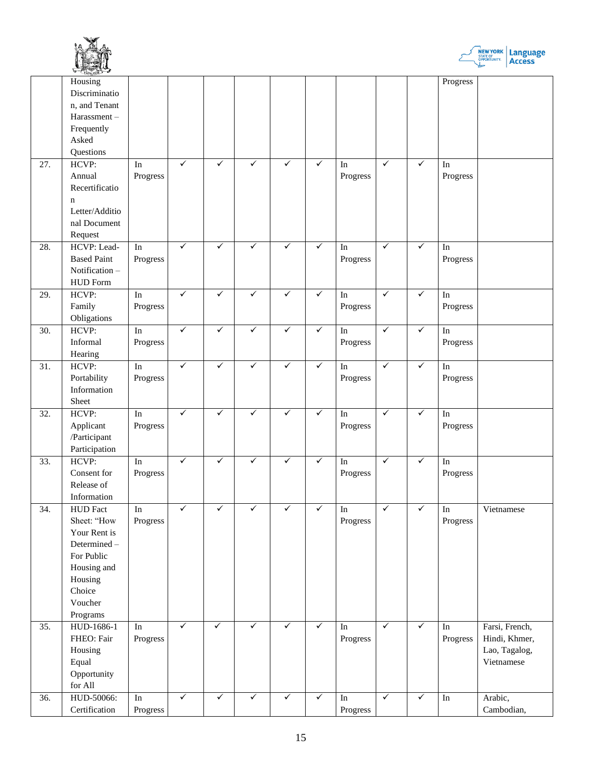



|     | $\sim$ $N_{(1,3)08}$ |                     |              |              |              |              |              |                     |              |              |                        |                |
|-----|----------------------|---------------------|--------------|--------------|--------------|--------------|--------------|---------------------|--------------|--------------|------------------------|----------------|
|     | Housing              |                     |              |              |              |              |              |                     |              |              | Progress               |                |
|     | Discriminatio        |                     |              |              |              |              |              |                     |              |              |                        |                |
|     | n, and Tenant        |                     |              |              |              |              |              |                     |              |              |                        |                |
|     | Harassment-          |                     |              |              |              |              |              |                     |              |              |                        |                |
|     | Frequently           |                     |              |              |              |              |              |                     |              |              |                        |                |
|     | Asked                |                     |              |              |              |              |              |                     |              |              |                        |                |
|     | Questions            |                     |              |              |              |              |              |                     |              |              |                        |                |
| 27. | HCVP:                | $\operatorname{In}$ | $\checkmark$ | $\checkmark$ | ✓            | $\checkmark$ | $\checkmark$ | In                  | $\checkmark$ | $\checkmark$ | In                     |                |
|     | Annual               | Progress            |              |              |              |              |              | Progress            |              |              | Progress               |                |
|     | Recertificatio       |                     |              |              |              |              |              |                     |              |              |                        |                |
|     | $\mathbf n$          |                     |              |              |              |              |              |                     |              |              |                        |                |
|     | Letter/Additio       |                     |              |              |              |              |              |                     |              |              |                        |                |
|     | nal Document         |                     |              |              |              |              |              |                     |              |              |                        |                |
|     | Request              |                     |              |              |              |              |              |                     |              |              |                        |                |
| 28. | HCVP: Lead-          | $\operatorname{In}$ | $\checkmark$ | $\checkmark$ | $\checkmark$ | $\checkmark$ | $\checkmark$ | $\operatorname{In}$ | $\checkmark$ | $\checkmark$ | $\operatorname{In}$    |                |
|     | <b>Based Paint</b>   | Progress            |              |              |              |              |              | Progress            |              |              | Progress               |                |
|     | Notification-        |                     |              |              |              |              |              |                     |              |              |                        |                |
|     | <b>HUD</b> Form      |                     |              |              |              |              |              |                     |              |              |                        |                |
| 29. | HCVP:                | In                  | $\checkmark$ | $\checkmark$ | ✓            | ✓            | $\checkmark$ | $\operatorname{In}$ | $\checkmark$ | $\checkmark$ | $\operatorname{In}$    |                |
|     | Family               | Progress            |              |              |              |              |              | Progress            |              |              | Progress               |                |
|     | Obligations          |                     |              |              |              |              |              |                     |              |              |                        |                |
| 30. | HCVP:                | $\rm{In}$           | $\checkmark$ | $\checkmark$ | $\checkmark$ | $\checkmark$ | $\checkmark$ | $\operatorname{In}$ | $\checkmark$ | $\checkmark$ | $\operatorname{In}$    |                |
|     | Informal             | Progress            |              |              |              |              |              | Progress            |              |              | Progress               |                |
|     | Hearing              |                     |              |              |              |              |              |                     |              |              |                        |                |
| 31. | HCVP:                | $\overline{\ln}$    | $\checkmark$ | $\checkmark$ | $\checkmark$ | $\checkmark$ | $\checkmark$ | $\operatorname{In}$ | $\checkmark$ | $\checkmark$ | $\operatorname{In}$    |                |
|     | Portability          | Progress            |              |              |              |              |              | Progress            |              |              | Progress               |                |
|     | Information          |                     |              |              |              |              |              |                     |              |              |                        |                |
|     | Sheet                |                     |              |              |              |              |              |                     |              |              |                        |                |
| 32. | HCVP:                | $\operatorname{In}$ | $\checkmark$ | $\checkmark$ | ✓            | ✓            | $\checkmark$ | In                  | $\checkmark$ | $\checkmark$ | $\operatorname{In}$    |                |
|     | Applicant            | Progress            |              |              |              |              |              | Progress            |              |              | Progress               |                |
|     | /Participant         |                     |              |              |              |              |              |                     |              |              |                        |                |
|     | Participation        |                     |              |              |              |              |              |                     |              |              |                        |                |
| 33. | HCVP:                | $\operatorname{In}$ | $\checkmark$ | $\checkmark$ | ✓            | ✓            | $\checkmark$ | In                  | $\checkmark$ | $\checkmark$ | $\operatorname{In}$    |                |
|     | Consent for          | Progress            |              |              |              |              |              | Progress            |              |              | Progress               |                |
|     | Release of           |                     |              |              |              |              |              |                     |              |              |                        |                |
|     | Information          |                     |              |              |              |              |              |                     |              |              |                        |                |
| 34. | <b>HUD</b> Fact      | $\rm{In}$           | $\checkmark$ | $\checkmark$ | $\checkmark$ | $\checkmark$ | $\checkmark$ | In                  | $\checkmark$ | $\checkmark$ | In                     | Vietnamese     |
|     | Sheet: "How          | Progress            |              |              |              |              |              | Progress            |              |              | Progress               |                |
|     | Your Rent is         |                     |              |              |              |              |              |                     |              |              |                        |                |
|     | Determined-          |                     |              |              |              |              |              |                     |              |              |                        |                |
|     | For Public           |                     |              |              |              |              |              |                     |              |              |                        |                |
|     | Housing and          |                     |              |              |              |              |              |                     |              |              |                        |                |
|     | Housing              |                     |              |              |              |              |              |                     |              |              |                        |                |
|     | Choice               |                     |              |              |              |              |              |                     |              |              |                        |                |
|     | Voucher              |                     |              |              |              |              |              |                     |              |              |                        |                |
|     | Programs             |                     |              |              |              |              |              |                     |              |              |                        |                |
| 35. | $HUD-1686-1$         | In                  | $\checkmark$ | $\checkmark$ | $\checkmark$ | $\checkmark$ | $\checkmark$ | $\operatorname{In}$ | ✓            | $\checkmark$ | In                     | Farsi, French, |
|     | FHEO: Fair           | Progress            |              |              |              |              |              | Progress            |              |              | Progress               | Hindi, Khmer,  |
|     | Housing              |                     |              |              |              |              |              |                     |              |              |                        | Lao, Tagalog,  |
|     | Equal                |                     |              |              |              |              |              |                     |              |              |                        | Vietnamese     |
|     | Opportunity          |                     |              |              |              |              |              |                     |              |              |                        |                |
|     | for All              |                     |              |              |              |              |              |                     |              |              |                        |                |
| 36. | HUD-50066:           | $\rm{In}$           | $\checkmark$ | $\checkmark$ | $\checkmark$ | $\checkmark$ | $\checkmark$ | $\operatorname{In}$ | $\checkmark$ | $\checkmark$ | $\mathop{\mathrm{In}}$ | Arabic,        |
|     | Certification        | Progress            |              |              |              |              |              | Progress            |              |              |                        | Cambodian,     |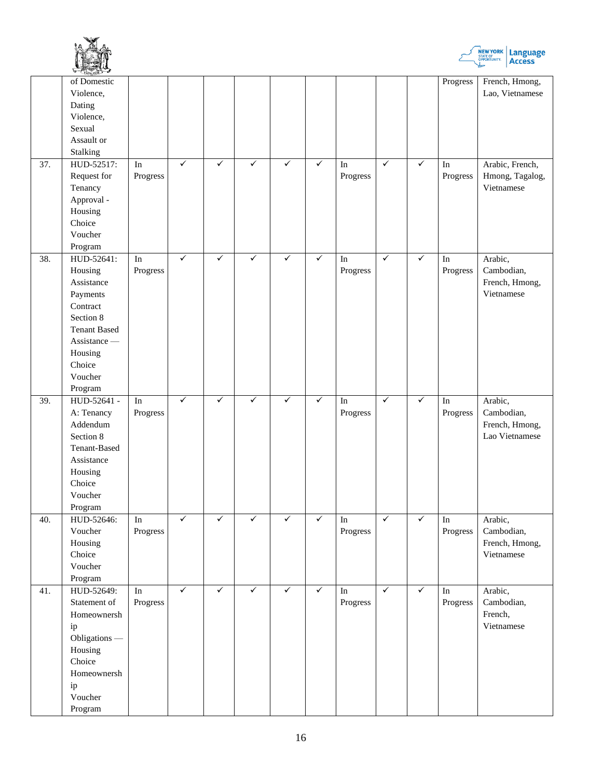



|                   | WELSTON -             |                     |              |              |              |              |              |                     |              |              |                        |                              |
|-------------------|-----------------------|---------------------|--------------|--------------|--------------|--------------|--------------|---------------------|--------------|--------------|------------------------|------------------------------|
|                   | of Domestic           |                     |              |              |              |              |              |                     |              |              | Progress               | French, Hmong,               |
|                   | Violence,             |                     |              |              |              |              |              |                     |              |              |                        | Lao, Vietnamese              |
|                   | Dating                |                     |              |              |              |              |              |                     |              |              |                        |                              |
|                   | Violence,             |                     |              |              |              |              |              |                     |              |              |                        |                              |
|                   | Sexual                |                     |              |              |              |              |              |                     |              |              |                        |                              |
|                   | Assault or            |                     |              |              |              |              |              |                     |              |              |                        |                              |
|                   | Stalking              |                     |              |              |              |              |              |                     |              |              |                        |                              |
| $\overline{37}$ . | HUD-52517:            | $\rm{In}$           | $\checkmark$ | $\checkmark$ | $\checkmark$ | $\checkmark$ | $\checkmark$ | $\operatorname{In}$ | $\checkmark$ | $\checkmark$ | $\operatorname{In}$    | Arabic, French,              |
|                   | Request for           | Progress            |              |              |              |              |              | Progress            |              |              | Progress               | Hmong, Tagalog,              |
|                   | Tenancy               |                     |              |              |              |              |              |                     |              |              |                        | Vietnamese                   |
|                   | Approval -            |                     |              |              |              |              |              |                     |              |              |                        |                              |
|                   | Housing               |                     |              |              |              |              |              |                     |              |              |                        |                              |
|                   | Choice                |                     |              |              |              |              |              |                     |              |              |                        |                              |
|                   | Voucher               |                     |              |              |              |              |              |                     |              |              |                        |                              |
|                   | Program               |                     |              |              |              |              |              |                     |              |              |                        |                              |
| 38.               | HUD-52641:            | $\rm{In}$           | $\checkmark$ | $\checkmark$ | $\checkmark$ | $\checkmark$ | $\checkmark$ | $\operatorname{In}$ | $\checkmark$ | $\checkmark$ | $\mathop{\mathrm{In}}$ | Arabic,                      |
|                   | Housing               | Progress            |              |              |              |              |              | Progress            |              |              | Progress               | Cambodian,                   |
|                   | Assistance            |                     |              |              |              |              |              |                     |              |              |                        | French, Hmong,               |
|                   | Payments              |                     |              |              |              |              |              |                     |              |              |                        | Vietnamese                   |
|                   | Contract              |                     |              |              |              |              |              |                     |              |              |                        |                              |
|                   | Section 8             |                     |              |              |              |              |              |                     |              |              |                        |                              |
|                   | <b>Tenant Based</b>   |                     |              |              |              |              |              |                     |              |              |                        |                              |
|                   | Assistance -          |                     |              |              |              |              |              |                     |              |              |                        |                              |
|                   | Housing               |                     |              |              |              |              |              |                     |              |              |                        |                              |
|                   | Choice                |                     |              |              |              |              |              |                     |              |              |                        |                              |
|                   | Voucher               |                     |              |              |              |              |              |                     |              |              |                        |                              |
|                   | Program               |                     |              |              |              |              |              |                     |              |              |                        |                              |
|                   |                       |                     |              |              |              |              |              |                     |              |              |                        |                              |
| 39.               | HUD-52641 -           | $\rm{In}$           | $\checkmark$ | $\checkmark$ | $\checkmark$ | $\checkmark$ | $\checkmark$ | $\operatorname{In}$ | $\checkmark$ | $\checkmark$ | $\operatorname{In}$    | Arabic,                      |
|                   | A: Tenancy            | Progress            |              |              |              |              |              | Progress            |              |              | Progress               | Cambodian,                   |
|                   | Addendum              |                     |              |              |              |              |              |                     |              |              |                        | French, Hmong,               |
|                   | Section 8             |                     |              |              |              |              |              |                     |              |              |                        | Lao Vietnamese               |
|                   | Tenant-Based          |                     |              |              |              |              |              |                     |              |              |                        |                              |
|                   | Assistance            |                     |              |              |              |              |              |                     |              |              |                        |                              |
|                   |                       |                     |              |              |              |              |              |                     |              |              |                        |                              |
|                   | Housing<br>Choice     |                     |              |              |              |              |              |                     |              |              |                        |                              |
|                   | Voucher               |                     |              |              |              |              |              |                     |              |              |                        |                              |
|                   |                       |                     |              |              |              |              |              |                     |              |              |                        |                              |
|                   | Program               |                     | $\checkmark$ | $\checkmark$ | $\checkmark$ | $\checkmark$ | $\checkmark$ |                     | $\checkmark$ | $\checkmark$ |                        |                              |
| 40.               | HUD-52646:            | $\rm{In}$           |              |              |              |              |              | $\rm{In}$           |              |              | $\mathop{\mathrm{In}}$ | Arabic,                      |
|                   | Voucher               | Progress            |              |              |              |              |              | Progress            |              |              | Progress               | Cambodian,                   |
|                   | Housing               |                     |              |              |              |              |              |                     |              |              |                        | French, Hmong,<br>Vietnamese |
|                   | Choice                |                     |              |              |              |              |              |                     |              |              |                        |                              |
|                   | Voucher               |                     |              |              |              |              |              |                     |              |              |                        |                              |
|                   | Program<br>HUD-52649: |                     | $\checkmark$ | $\checkmark$ | $\checkmark$ | $\checkmark$ | $\checkmark$ | In                  | $\checkmark$ | $\checkmark$ | $\overline{\ln}$       |                              |
| 41.               |                       | $\operatorname{In}$ |              |              |              |              |              |                     |              |              |                        | Arabic,                      |
|                   | Statement of          | Progress            |              |              |              |              |              | Progress            |              |              | Progress               | Cambodian,                   |
|                   | Homeownersh           |                     |              |              |              |              |              |                     |              |              |                        | French,                      |
|                   | ip                    |                     |              |              |              |              |              |                     |              |              |                        | Vietnamese                   |
|                   | Obligations -         |                     |              |              |              |              |              |                     |              |              |                        |                              |
|                   | Housing               |                     |              |              |              |              |              |                     |              |              |                        |                              |
|                   | Choice                |                     |              |              |              |              |              |                     |              |              |                        |                              |
|                   | Homeownersh           |                     |              |              |              |              |              |                     |              |              |                        |                              |
|                   | ip<br>Voucher         |                     |              |              |              |              |              |                     |              |              |                        |                              |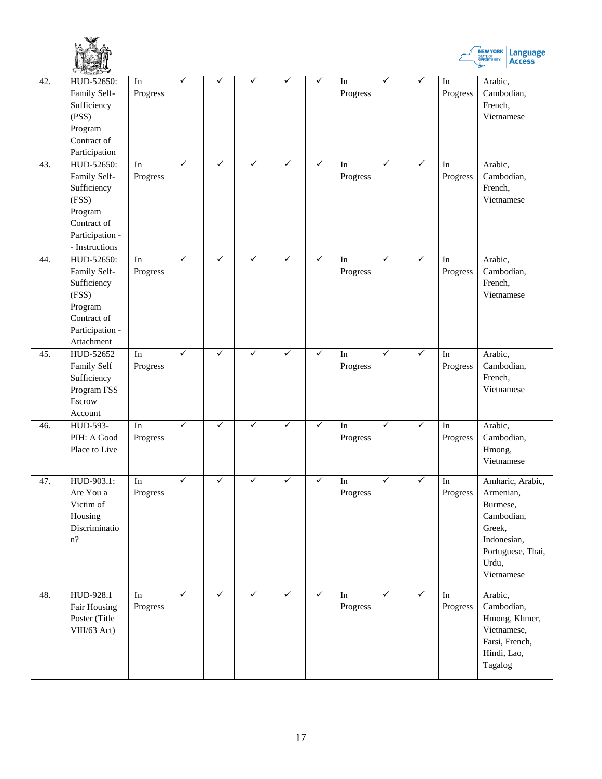



|     | $\sim$ $\frac{1}{2}$ $\frac{1}{2}$                                                                                |                                 |              |              |              |              |              |                                 |              |              |                                    |                                                                                                                              |
|-----|-------------------------------------------------------------------------------------------------------------------|---------------------------------|--------------|--------------|--------------|--------------|--------------|---------------------------------|--------------|--------------|------------------------------------|------------------------------------------------------------------------------------------------------------------------------|
| 42. | HUD-52650:<br>Family Self-<br>Sufficiency<br>(PSS)<br>Program<br>Contract of<br>Participation                     | In<br>Progress                  | ✓            | ✓            |              |              | ✓            | In<br>Progress                  | $\checkmark$ | $\checkmark$ | In<br>Progress                     | Arabic,<br>Cambodian,<br>French,<br>Vietnamese                                                                               |
| 43. | HUD-52650:<br>Family Self-<br>Sufficiency<br>(FSS)<br>Program<br>Contract of<br>Participation -<br>- Instructions | In<br>Progress                  | ✓            | $\checkmark$ | $\checkmark$ | $\checkmark$ | ✓            | In<br>Progress                  | $\checkmark$ | $\checkmark$ | In<br>Progress                     | Arabic,<br>Cambodian,<br>French,<br>Vietnamese                                                                               |
| 44. | HUD-52650:<br>Family Self-<br>Sufficiency<br>(FSS)<br>Program<br>Contract of<br>Participation -<br>Attachment     | In<br>Progress                  | ✓            | $\checkmark$ | ✓            | $\checkmark$ | $\checkmark$ | In<br>Progress                  | $\checkmark$ | $\checkmark$ | In<br>Progress                     | Arabic,<br>Cambodian,<br>French,<br>Vietnamese                                                                               |
| 45. | HUD-52652<br>Family Self<br>Sufficiency<br>Program FSS<br>Escrow<br>Account                                       | $\operatorname{In}$<br>Progress | $\checkmark$ | $\checkmark$ | $\checkmark$ | $\checkmark$ | $\checkmark$ | $\operatorname{In}$<br>Progress | $\checkmark$ | $\checkmark$ | In<br>Progress                     | Arabic,<br>Cambodian,<br>French,<br>Vietnamese                                                                               |
| 46. | HUD-593-<br>PIH: A Good<br>Place to Live                                                                          | In<br>Progress                  | $\checkmark$ | $\checkmark$ | ✓            | ✓            | $\checkmark$ | $\rm{In}$<br>Progress           | $\checkmark$ | $\checkmark$ | In<br>Progress                     | Arabic,<br>Cambodian,<br>Hmong,<br>Vietnamese                                                                                |
| 47. | HUD-903.1:<br>Are You a<br>Victim of<br>Housing<br>Discriminatio<br>$n$ ?                                         | $\operatorname{In}$<br>Progress | $\checkmark$ | $\checkmark$ | ✓            | $\checkmark$ | $\checkmark$ | In<br>Progress                  | $\checkmark$ | $\checkmark$ | $\mathop{\mathrm{In}}$<br>Progress | Amharic, Arabic,<br>Armenian,<br>Burmese,<br>Cambodian,<br>Greek,<br>Indonesian,<br>Portuguese, Thai,<br>Urdu,<br>Vietnamese |
| 48. | HUD-928.1<br>Fair Housing<br>Poster (Title<br>VIII/63 Act)                                                        | In<br>Progress                  | $\checkmark$ | $\checkmark$ | $\checkmark$ | $\checkmark$ | $\sqrt{}$    | In<br>Progress                  | $\checkmark$ | $\checkmark$ | In<br>Progress                     | Arabic,<br>Cambodian,<br>Hmong, Khmer,<br>Vietnamese,<br>Farsi, French,<br>Hindi, Lao,<br>Tagalog                            |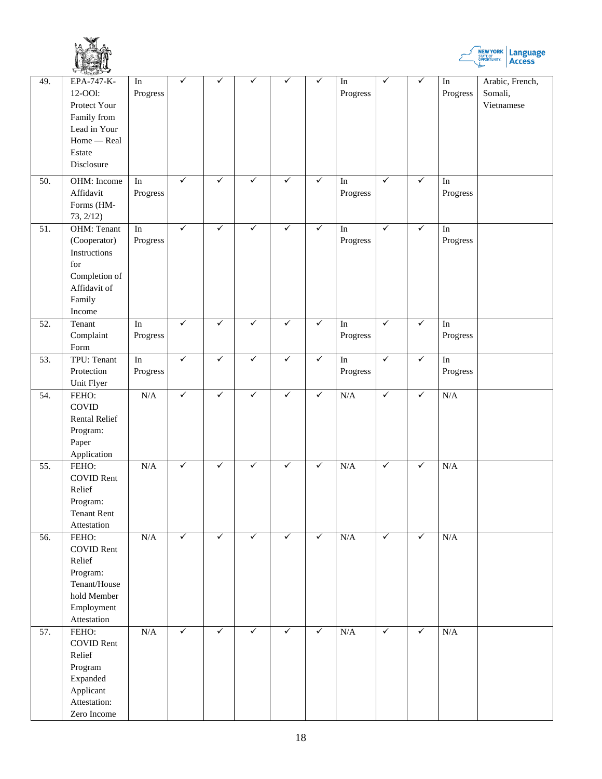



|                   | M(x)                 |                        | ✓            | ✓            |              |              | ✓            |                        | $\checkmark$ | $\checkmark$ |                     |                 |
|-------------------|----------------------|------------------------|--------------|--------------|--------------|--------------|--------------|------------------------|--------------|--------------|---------------------|-----------------|
| 49.               | EPA-747-K-           | $\rm{In}$              |              |              |              |              |              | $\mathop{\mathrm{In}}$ |              |              | $\rm{In}$           | Arabic, French, |
|                   | 12-OOI:              | Progress               |              |              |              |              |              | Progress               |              |              | Progress            | Somali,         |
|                   | Protect Your         |                        |              |              |              |              |              |                        |              |              |                     | Vietnamese      |
|                   | Family from          |                        |              |              |              |              |              |                        |              |              |                     |                 |
|                   | Lead in Your         |                        |              |              |              |              |              |                        |              |              |                     |                 |
|                   | Home - Real          |                        |              |              |              |              |              |                        |              |              |                     |                 |
|                   |                      |                        |              |              |              |              |              |                        |              |              |                     |                 |
|                   | Estate               |                        |              |              |              |              |              |                        |              |              |                     |                 |
|                   | Disclosure           |                        |              |              |              |              |              |                        |              |              |                     |                 |
| 50.               | OHM: Income          | $\mathop{\mathrm{In}}$ | $\checkmark$ | ✓            | ✓            | $\checkmark$ | $\checkmark$ |                        | $\checkmark$ | $\checkmark$ | $\operatorname{In}$ |                 |
|                   |                      |                        |              |              |              |              |              | In                     |              |              |                     |                 |
|                   | Affidavit            | Progress               |              |              |              |              |              | Progress               |              |              | Progress            |                 |
|                   | Forms (HM-           |                        |              |              |              |              |              |                        |              |              |                     |                 |
|                   | 73, 2/12)            |                        |              |              |              |              |              |                        |              |              |                     |                 |
| 51.               | OHM: Tenant          | $\mathop{\mathrm{In}}$ | $\checkmark$ | ✓            | $\checkmark$ | $\checkmark$ | $\checkmark$ | $\operatorname{In}$    | $\checkmark$ | $\checkmark$ | $\operatorname{In}$ |                 |
|                   | (Cooperator)         | Progress               |              |              |              |              |              | Progress               |              |              | Progress            |                 |
|                   |                      |                        |              |              |              |              |              |                        |              |              |                     |                 |
|                   | Instructions         |                        |              |              |              |              |              |                        |              |              |                     |                 |
|                   | for                  |                        |              |              |              |              |              |                        |              |              |                     |                 |
|                   | Completion of        |                        |              |              |              |              |              |                        |              |              |                     |                 |
|                   | Affidavit of         |                        |              |              |              |              |              |                        |              |              |                     |                 |
|                   | Family               |                        |              |              |              |              |              |                        |              |              |                     |                 |
|                   | Income               |                        |              |              |              |              |              |                        |              |              |                     |                 |
| 52.               | Tenant               | $\operatorname{In}$    | $\checkmark$ | $\checkmark$ | $\checkmark$ | $\checkmark$ | $\checkmark$ | $\operatorname{In}$    | $\sqrt{}$    | $\checkmark$ | $\operatorname{In}$ |                 |
|                   |                      |                        |              |              |              |              |              |                        |              |              |                     |                 |
|                   | Complaint            | Progress               |              |              |              |              |              | Progress               |              |              | Progress            |                 |
|                   | Form                 |                        |              |              |              |              |              |                        |              |              |                     |                 |
| $\overline{53}$ . | TPU: Tenant          | $\overline{\ln}$       | $\checkmark$ | $\checkmark$ | $\checkmark$ | $\checkmark$ | $\checkmark$ | $\overline{\ln}$       | $\checkmark$ | $\checkmark$ | $\overline{\ln}$    |                 |
|                   | Protection           | Progress               |              |              |              |              |              | Progress               |              |              | Progress            |                 |
|                   | Unit Flyer           |                        |              |              |              |              |              |                        |              |              |                     |                 |
| 54.               | FEHO:                | N/A                    | $\checkmark$ | $\checkmark$ | $\checkmark$ | $\checkmark$ | $\checkmark$ | N/A                    | $\checkmark$ | $\checkmark$ | N/A                 |                 |
|                   | COVID                |                        |              |              |              |              |              |                        |              |              |                     |                 |
|                   |                      |                        |              |              |              |              |              |                        |              |              |                     |                 |
|                   | <b>Rental Relief</b> |                        |              |              |              |              |              |                        |              |              |                     |                 |
|                   | Program:             |                        |              |              |              |              |              |                        |              |              |                     |                 |
|                   | Paper                |                        |              |              |              |              |              |                        |              |              |                     |                 |
|                   | Application          |                        |              |              |              |              |              |                        |              |              |                     |                 |
| 55.               | FEHO:                | N/A                    | ✓            | $\checkmark$ | $\checkmark$ | $\checkmark$ | $\checkmark$ | N/A                    | $\checkmark$ | $\checkmark$ | N/A                 |                 |
|                   | <b>COVID Rent</b>    |                        |              |              |              |              |              |                        |              |              |                     |                 |
|                   | Relief               |                        |              |              |              |              |              |                        |              |              |                     |                 |
|                   |                      |                        |              |              |              |              |              |                        |              |              |                     |                 |
|                   | Program:             |                        |              |              |              |              |              |                        |              |              |                     |                 |
|                   | <b>Tenant Rent</b>   |                        |              |              |              |              |              |                        |              |              |                     |                 |
|                   | Attestation          |                        |              |              |              |              |              |                        |              |              |                     |                 |
| 56.               | FEHO:                | N/A                    | $\checkmark$ | $\checkmark$ | $\checkmark$ | $\checkmark$ | $\checkmark$ | N/A                    | $\checkmark$ | $\checkmark$ | N/A                 |                 |
|                   | <b>COVID Rent</b>    |                        |              |              |              |              |              |                        |              |              |                     |                 |
|                   | Relief               |                        |              |              |              |              |              |                        |              |              |                     |                 |
|                   | Program:             |                        |              |              |              |              |              |                        |              |              |                     |                 |
|                   |                      |                        |              |              |              |              |              |                        |              |              |                     |                 |
|                   | Tenant/House         |                        |              |              |              |              |              |                        |              |              |                     |                 |
|                   | hold Member          |                        |              |              |              |              |              |                        |              |              |                     |                 |
|                   | Employment           |                        |              |              |              |              |              |                        |              |              |                     |                 |
|                   | Attestation          |                        |              |              |              |              |              |                        |              |              |                     |                 |
| 57.               | FEHO:                | N/A                    | $\checkmark$ | $\checkmark$ | $\checkmark$ | $\checkmark$ | $\checkmark$ | N/A                    | $\checkmark$ | $\checkmark$ | N/A                 |                 |
|                   | <b>COVID Rent</b>    |                        |              |              |              |              |              |                        |              |              |                     |                 |
|                   | Relief               |                        |              |              |              |              |              |                        |              |              |                     |                 |
|                   |                      |                        |              |              |              |              |              |                        |              |              |                     |                 |
|                   | Program              |                        |              |              |              |              |              |                        |              |              |                     |                 |
|                   | Expanded             |                        |              |              |              |              |              |                        |              |              |                     |                 |
|                   | Applicant            |                        |              |              |              |              |              |                        |              |              |                     |                 |
|                   | Attestation:         |                        |              |              |              |              |              |                        |              |              |                     |                 |
|                   | Zero Income          |                        |              |              |              |              |              |                        |              |              |                     |                 |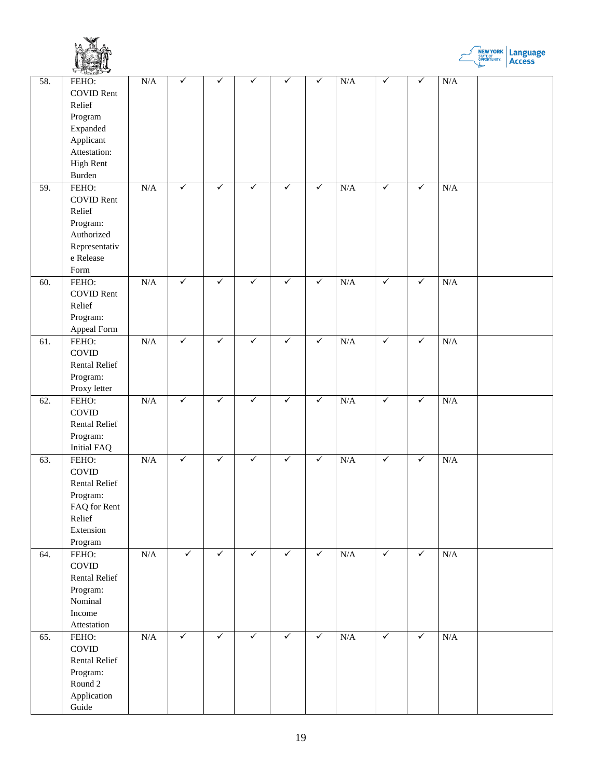



|     | M(z)                                                                                                                   |                         |              |              |              |              |              |     |              |              |     |  |
|-----|------------------------------------------------------------------------------------------------------------------------|-------------------------|--------------|--------------|--------------|--------------|--------------|-----|--------------|--------------|-----|--|
| 58. | FEHO:<br><b>COVID Rent</b><br>Relief<br>Program<br>Expanded<br>Applicant<br>Attestation:<br><b>High Rent</b><br>Burden | N/A                     | $\checkmark$ | ✓            | ✓            | ✓            | $\checkmark$ | N/A | $\checkmark$ | $\checkmark$ | N/A |  |
| 59. | FEHO:<br><b>COVID Rent</b><br>Relief<br>Program:<br>Authorized<br>Representativ<br>e Release<br>Form                   | N/A                     | $\checkmark$ | $\checkmark$ | ✓            | $\checkmark$ | $\checkmark$ | N/A | $\checkmark$ | $\checkmark$ | N/A |  |
| 60. | FEHO:<br><b>COVID Rent</b><br>Relief<br>Program:<br>Appeal Form                                                        | N/A                     | $\checkmark$ | $\checkmark$ | $\checkmark$ | $\checkmark$ | $\checkmark$ | N/A | $\checkmark$ | $\checkmark$ | N/A |  |
| 61. | FEHO:<br>COVID<br>Rental Relief<br>Program:<br>Proxy letter                                                            | N/A                     | $\checkmark$ | $\checkmark$ | $\checkmark$ | $\checkmark$ | $\checkmark$ | N/A | $\checkmark$ | $\checkmark$ | N/A |  |
| 62. | FEHO:<br>COVID<br>Rental Relief<br>Program:<br><b>Initial FAQ</b>                                                      | $\overline{\text{N/A}}$ | $\checkmark$ | $\checkmark$ | $\checkmark$ | $\checkmark$ | $\checkmark$ | N/A | $\checkmark$ | $\checkmark$ | N/A |  |
| 63. | FEHO:<br>COVID<br><b>Rental Relief</b><br>Program:<br>FAQ for Rent<br>Relief<br>Extension<br>Program                   | N/A                     | $\checkmark$ | $\checkmark$ | $\checkmark$ | $\checkmark$ | $\checkmark$ | N/A | $\checkmark$ | $\checkmark$ | N/A |  |
| 64. | FEHO:<br>COVID<br>Rental Relief<br>Program:<br>Nominal<br>Income<br>Attestation                                        | N/A                     | $\checkmark$ | $\checkmark$ | $\checkmark$ | $\checkmark$ | $\checkmark$ | N/A | $\checkmark$ | $\checkmark$ | N/A |  |
| 65. | FEHO:<br>COVID<br>Rental Relief<br>Program:<br>Round 2<br>Application<br>Guide                                         | N/A                     | $\checkmark$ | $\checkmark$ | $\checkmark$ | $\checkmark$ | $\checkmark$ | N/A | $\checkmark$ | $\checkmark$ | N/A |  |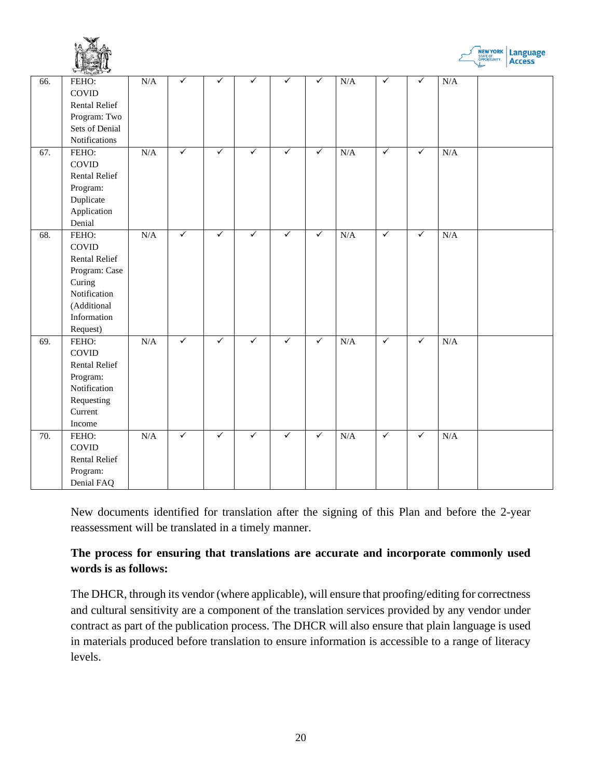



|     | $4 - 6$ ( $(1,1)$ ) $-6$ |     |              |              |              |              |              |     |              |              |     |  |
|-----|--------------------------|-----|--------------|--------------|--------------|--------------|--------------|-----|--------------|--------------|-----|--|
| 66. | FEHO:                    | N/A | $\checkmark$ | $\checkmark$ | ✓            | ✓            | $\checkmark$ | N/A | $\checkmark$ | $\checkmark$ | N/A |  |
|     | COVID                    |     |              |              |              |              |              |     |              |              |     |  |
|     | Rental Relief            |     |              |              |              |              |              |     |              |              |     |  |
|     | Program: Two             |     |              |              |              |              |              |     |              |              |     |  |
|     | Sets of Denial           |     |              |              |              |              |              |     |              |              |     |  |
|     | Notifications            |     |              |              |              |              |              |     |              |              |     |  |
| 67. | FEHO:                    | N/A | $\checkmark$ | $\checkmark$ | $\checkmark$ | $\checkmark$ | $\checkmark$ | N/A | $\checkmark$ | $\checkmark$ | N/A |  |
|     | COVID                    |     |              |              |              |              |              |     |              |              |     |  |
|     | <b>Rental Relief</b>     |     |              |              |              |              |              |     |              |              |     |  |
|     | Program:                 |     |              |              |              |              |              |     |              |              |     |  |
|     | Duplicate                |     |              |              |              |              |              |     |              |              |     |  |
|     | Application              |     |              |              |              |              |              |     |              |              |     |  |
|     | Denial                   |     |              |              |              |              |              |     |              |              |     |  |
| 68. | FEHO:                    | N/A | $\checkmark$ | $\checkmark$ | $\checkmark$ | $\checkmark$ | $\checkmark$ | N/A | $\checkmark$ | $\checkmark$ | N/A |  |
|     | COVID                    |     |              |              |              |              |              |     |              |              |     |  |
|     | <b>Rental Relief</b>     |     |              |              |              |              |              |     |              |              |     |  |
|     | Program: Case            |     |              |              |              |              |              |     |              |              |     |  |
|     | Curing                   |     |              |              |              |              |              |     |              |              |     |  |
|     | Notification             |     |              |              |              |              |              |     |              |              |     |  |
|     | (Additional              |     |              |              |              |              |              |     |              |              |     |  |
|     | Information              |     |              |              |              |              |              |     |              |              |     |  |
|     | Request)                 |     |              |              |              |              |              |     |              |              |     |  |
| 69. | FEHO:                    | N/A | $\checkmark$ | $\checkmark$ | $\checkmark$ | $\checkmark$ | $\checkmark$ | N/A | $\checkmark$ | $\checkmark$ | N/A |  |
|     | COVID                    |     |              |              |              |              |              |     |              |              |     |  |
|     | Rental Relief            |     |              |              |              |              |              |     |              |              |     |  |
|     | Program:                 |     |              |              |              |              |              |     |              |              |     |  |
|     | Notification             |     |              |              |              |              |              |     |              |              |     |  |
|     | Requesting               |     |              |              |              |              |              |     |              |              |     |  |
|     | Current                  |     |              |              |              |              |              |     |              |              |     |  |
|     | Income                   |     |              |              |              |              |              |     |              |              |     |  |
| 70. | FEHO:                    | N/A | $\checkmark$ | $\checkmark$ | $\checkmark$ | $\checkmark$ | $\checkmark$ | N/A | $\checkmark$ | $\checkmark$ | N/A |  |
|     | COVID                    |     |              |              |              |              |              |     |              |              |     |  |
|     | <b>Rental Relief</b>     |     |              |              |              |              |              |     |              |              |     |  |
|     | Program:                 |     |              |              |              |              |              |     |              |              |     |  |
|     | Denial FAQ               |     |              |              |              |              |              |     |              |              |     |  |

New documents identified for translation after the signing of this Plan and before the 2-year reassessment will be translated in a timely manner.

## **The process for ensuring that translations are accurate and incorporate commonly used words is as follows:**

The DHCR, through its vendor (where applicable), will ensure that proofing/editing for correctness and cultural sensitivity are a component of the translation services provided by any vendor under contract as part of the publication process. The DHCR will also ensure that plain language is used in materials produced before translation to ensure information is accessible to a range of literacy levels.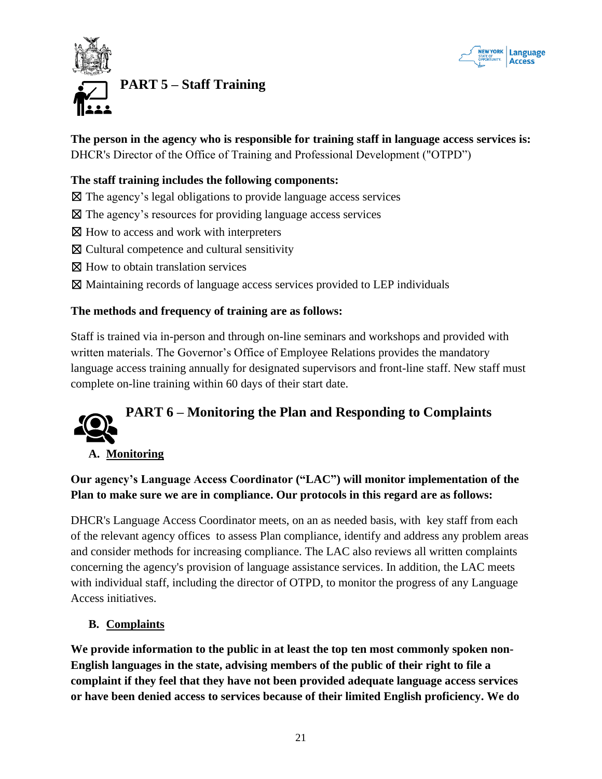



# <span id="page-20-0"></span>**PART 5 – Staff Training**

**The person in the agency who is responsible for training staff in language access services is:** DHCR's Director of the Office of Training and Professional Development ("OTPD")

#### **The staff training includes the following components:**

- ☒ The agency's legal obligations to provide language access services
- $\boxtimes$  The agency's resources for providing language access services
- ⊠ How to access and work with interpreters
- ☒ Cultural competence and cultural sensitivity
- ⊠ How to obtain translation services
- ☒ Maintaining records of language access services provided to LEP individuals

#### **The methods and frequency of training are as follows:**

Staff is trained via in-person and through on-line seminars and workshops and provided with written materials. The Governor's Office of Employee Relations provides the mandatory language access training annually for designated supervisors and front-line staff. New staff must complete on-line training within 60 days of their start date.

<span id="page-20-1"></span>

#### **A. Monitoring**

**Our agency's Language Access Coordinator ("LAC") will monitor implementation of the Plan to make sure we are in compliance. Our protocols in this regard are as follows:**

DHCR's Language Access Coordinator meets, on an as needed basis, with key staff from each of the relevant agency offices to assess Plan compliance, identify and address any problem areas and consider methods for increasing compliance. The LAC also reviews all written complaints concerning the agency's provision of language assistance services. In addition, the LAC meets with individual staff, including the director of OTPD, to monitor the progress of any Language Access initiatives.

#### **B. Complaints**

**We provide information to the public in at least the top ten most commonly spoken non-English languages in the state, advising members of the public of their right to file a complaint if they feel that they have not been provided adequate language access services or have been denied access to services because of their limited English proficiency. We do**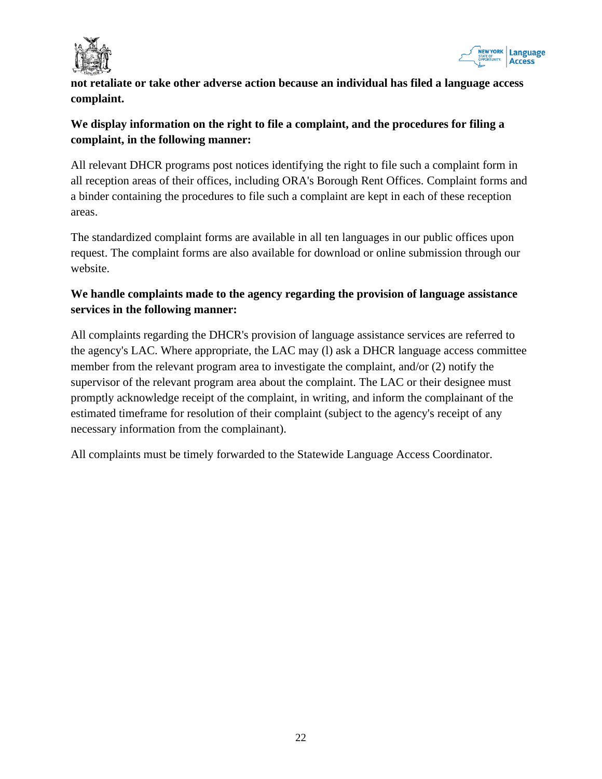

<span id="page-21-0"></span>

**not retaliate or take other adverse action because an individual has filed a language access complaint.** 

## **We display information on the right to file a complaint, and the procedures for filing a complaint, in the following manner:**

All relevant DHCR programs post notices identifying the right to file such a complaint form in all reception areas of their offices, including ORA's Borough Rent Offices. Complaint forms and a binder containing the procedures to file such a complaint are kept in each of these reception areas.

The standardized complaint forms are available in all ten languages in our public offices upon request. The complaint forms are also available for download or online submission through our website.

## **We handle complaints made to the agency regarding the provision of language assistance services in the following manner:**

All complaints regarding the DHCR's provision of language assistance services are referred to the agency's LAC. Where appropriate, the LAC may (l) ask a DHCR language access committee member from the relevant program area to investigate the complaint, and/or (2) notify the supervisor of the relevant program area about the complaint. The LAC or their designee must promptly acknowledge receipt of the complaint, in writing, and inform the complainant of the estimated timeframe for resolution of their complaint (subject to the agency's receipt of any necessary information from the complainant).

All complaints must be timely forwarded to the Statewide Language Access Coordinator.